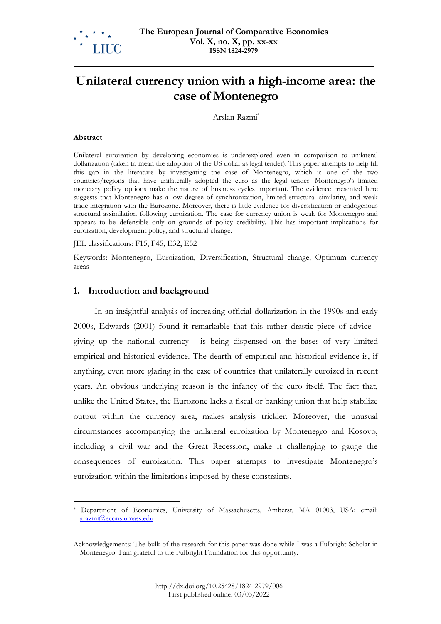

# **Unilateral currency union with a high-income area: the case of Montenegro**

Arslan Razmi \*

#### **Abstract**

Unilateral euroization by developing economies is underexplored even in comparison to unilateral dollarization (taken to mean the adoption of the US dollar as legal tender). This paper attempts to help fill this gap in the literature by investigating the case of Montenegro, which is one of the two countries/regions that have unilaterally adopted the euro as the legal tender. Montenegro's limited monetary policy options make the nature of business cycles important. The evidence presented here suggests that Montenegro has a low degree of synchronization, limited structural similarity, and weak trade integration with the Eurozone. Moreover, there is little evidence for diversification or endogenous structural assimilation following euroization. The case for currency union is weak for Montenegro and appears to be defensible only on grounds of policy credibility. This has important implications for euroization, development policy, and structural change.

JEL classifications: F15, F45, E32, E52

Keywords: Montenegro, Euroization, Diversification, Structural change, Optimum currency areas

# **1. Introduction and background**

In an insightful analysis of increasing official dollarization in the 1990s and early 2000s, Edwards (2001) found it remarkable that this rather drastic piece of advice giving up the national currency - is being dispensed on the bases of very limited empirical and historical evidence. The dearth of empirical and historical evidence is, if anything, even more glaring in the case of countries that unilaterally euroized in recent years. An obvious underlying reason is the infancy of the euro itself. The fact that, unlike the United States, the Eurozone lacks a fiscal or banking union that help stabilize output within the currency area, makes analysis trickier. Moreover, the unusual circumstances accompanying the unilateral euroization by Montenegro and Kosovo, including a civil war and the Great Recession, make it challenging to gauge the consequences of euroization. This paper attempts to investigate Montenegro's euroization within the limitations imposed by these constraints.

Department of Economics, University of Massachusetts, Amherst, MA 01003, USA; email: [arazmi@econs.umass.edu](mailto:arazmi@econs.umass.edu)

Acknowledgements: The bulk of the research for this paper was done while I was a Fulbright Scholar in Montenegro. I am grateful to the Fulbright Foundation for this opportunity.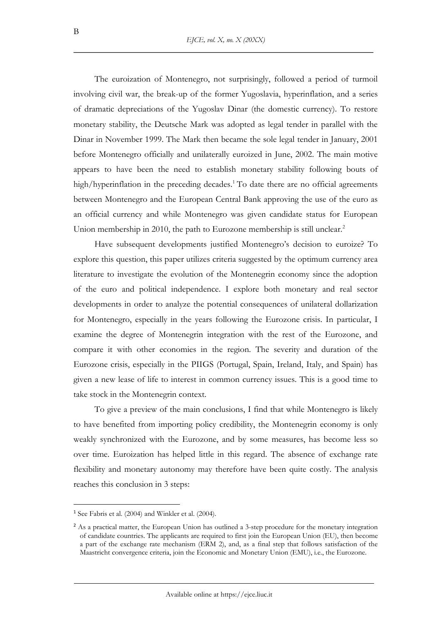The euroization of Montenegro, not surprisingly, followed a period of turmoil involving civil war, the break-up of the former Yugoslavia, hyperinflation, and a series of dramatic depreciations of the Yugoslav Dinar (the domestic currency). To restore monetary stability, the Deutsche Mark was adopted as legal tender in parallel with the Dinar in November 1999. The Mark then became the sole legal tender in January, 2001 before Montenegro officially and unilaterally euroized in June, 2002. The main motive appears to have been the need to establish monetary stability following bouts of high/hyperinflation in the preceding decades.<sup>1</sup> To date there are no official agreements between Montenegro and the European Central Bank approving the use of the euro as an official currency and while Montenegro was given candidate status for European Union membership in 2010, the path to Eurozone membership is still unclear.<sup>2</sup>

Have subsequent developments justified Montenegro's decision to euroize? To explore this question, this paper utilizes criteria suggested by the optimum currency area literature to investigate the evolution of the Montenegrin economy since the adoption of the euro and political independence. I explore both monetary and real sector developments in order to analyze the potential consequences of unilateral dollarization for Montenegro, especially in the years following the Eurozone crisis. In particular, I examine the degree of Montenegrin integration with the rest of the Eurozone, and compare it with other economies in the region. The severity and duration of the Eurozone crisis, especially in the PIIGS (Portugal, Spain, Ireland, Italy, and Spain) has given a new lease of life to interest in common currency issues. This is a good time to take stock in the Montenegrin context.

To give a preview of the main conclusions, I find that while Montenegro is likely to have benefited from importing policy credibility, the Montenegrin economy is only weakly synchronized with the Eurozone, and by some measures, has become less so over time. Euroization has helped little in this regard. The absence of exchange rate flexibility and monetary autonomy may therefore have been quite costly. The analysis reaches this conclusion in 3 steps:

 $1$  See Fabris et al. (2004) and Winkler et al. (2004).

<sup>&</sup>lt;sup>2</sup> As a practical matter, the European Union has outlined a 3-step procedure for the monetary integration of candidate countries. The applicants are required to first join the European Union (EU), then become a part of the exchange rate mechanism (ERM 2), and, as a final step that follows satisfaction of the Maastricht convergence criteria, join the Economic and Monetary Union (EMU), i.e., the Eurozone.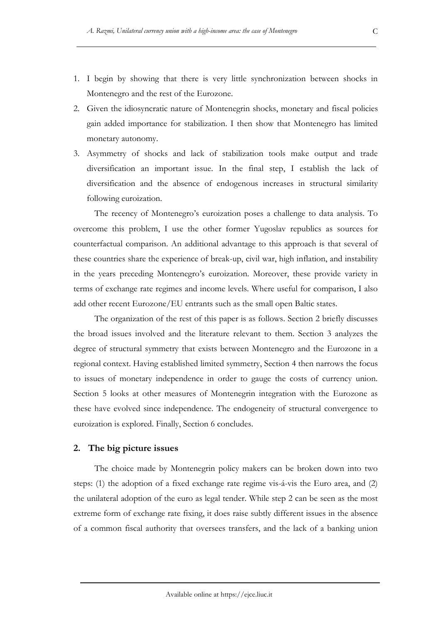- 1. I begin by showing that there is very little synchronization between shocks in Montenegro and the rest of the Eurozone.
- 2. Given the idiosyncratic nature of Montenegrin shocks, monetary and fiscal policies gain added importance for stabilization. I then show that Montenegro has limited monetary autonomy.
- 3. Asymmetry of shocks and lack of stabilization tools make output and trade diversification an important issue. In the final step, I establish the lack of diversification and the absence of endogenous increases in structural similarity following euroization.

The recency of Montenegro's euroization poses a challenge to data analysis. To overcome this problem, I use the other former Yugoslav republics as sources for counterfactual comparison. An additional advantage to this approach is that several of these countries share the experience of break-up, civil war, high inflation, and instability in the years preceding Montenegro's euroization. Moreover, these provide variety in terms of exchange rate regimes and income levels. Where useful for comparison, I also add other recent Eurozone/EU entrants such as the small open Baltic states.

The organization of the rest of this paper is as follows. Section 2 briefly discusses the broad issues involved and the literature relevant to them. Section 3 analyzes the degree of structural symmetry that exists between Montenegro and the Eurozone in a regional context. Having established limited symmetry, Section 4 then narrows the focus to issues of monetary independence in order to gauge the costs of currency union. Section 5 looks at other measures of Montenegrin integration with the Eurozone as these have evolved since independence. The endogeneity of structural convergence to euroization is explored. Finally, Section 6 concludes.

#### **2. The big picture issues**

The choice made by Montenegrin policy makers can be broken down into two steps: (1) the adoption of a fixed exchange rate regime vis-á-vis the Euro area, and (2) the unilateral adoption of the euro as legal tender. While step 2 can be seen as the most extreme form of exchange rate fixing, it does raise subtly different issues in the absence of a common fiscal authority that oversees transfers, and the lack of a banking union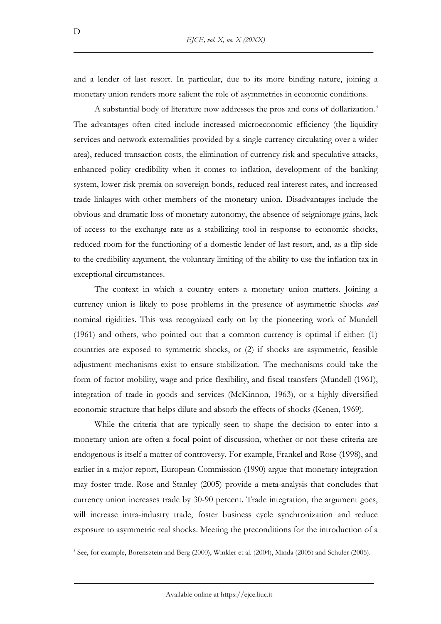and a lender of last resort. In particular, due to its more binding nature, joining a monetary union renders more salient the role of asymmetries in economic conditions.

A substantial body of literature now addresses the pros and cons of dollarization.<sup>3</sup> The advantages often cited include increased microeconomic efficiency (the liquidity services and network externalities provided by a single currency circulating over a wider area), reduced transaction costs, the elimination of currency risk and speculative attacks, enhanced policy credibility when it comes to inflation, development of the banking system, lower risk premia on sovereign bonds, reduced real interest rates, and increased trade linkages with other members of the monetary union. Disadvantages include the obvious and dramatic loss of monetary autonomy, the absence of seigniorage gains, lack of access to the exchange rate as a stabilizing tool in response to economic shocks, reduced room for the functioning of a domestic lender of last resort, and, as a flip side to the credibility argument, the voluntary limiting of the ability to use the inflation tax in exceptional circumstances.

The context in which a country enters a monetary union matters. Joining a currency union is likely to pose problems in the presence of asymmetric shocks *and*  nominal rigidities. This was recognized early on by the pioneering work of Mundell (1961) and others, who pointed out that a common currency is optimal if either: (1) countries are exposed to symmetric shocks, or (2) if shocks are asymmetric, feasible adjustment mechanisms exist to ensure stabilization. The mechanisms could take the form of factor mobility, wage and price flexibility, and fiscal transfers (Mundell (1961), integration of trade in goods and services (McKinnon, 1963), or a highly diversified economic structure that helps dilute and absorb the effects of shocks (Kenen, 1969).

While the criteria that are typically seen to shape the decision to enter into a monetary union are often a focal point of discussion, whether or not these criteria are endogenous is itself a matter of controversy. For example, Frankel and Rose (1998), and earlier in a major report, European Commission (1990) argue that monetary integration may foster trade. Rose and Stanley (2005) provide a meta-analysis that concludes that currency union increases trade by 30-90 percent. Trade integration, the argument goes, will increase intra-industry trade, foster business cycle synchronization and reduce exposure to asymmetric real shocks. Meeting the preconditions for the introduction of a

<sup>3</sup> See, for example, Borensztein and Berg (2000), Winkler et al. (2004), Minda (2005) and Schuler (2005).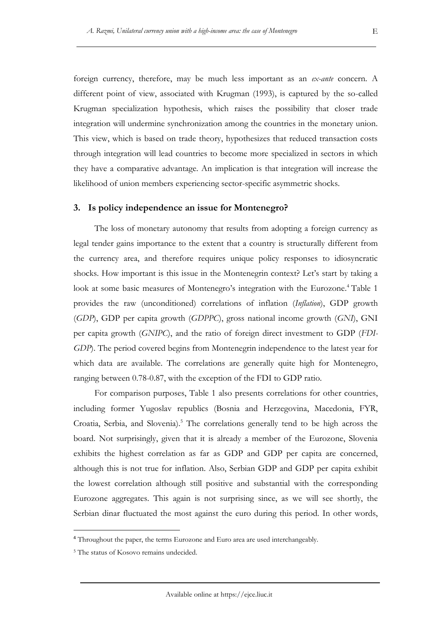foreign currency, therefore, may be much less important as an *ex-ante* concern. A different point of view, associated with Krugman (1993), is captured by the so-called Krugman specialization hypothesis, which raises the possibility that closer trade integration will undermine synchronization among the countries in the monetary union. This view, which is based on trade theory, hypothesizes that reduced transaction costs through integration will lead countries to become more specialized in sectors in which they have a comparative advantage. An implication is that integration will increase the likelihood of union members experiencing sector-specific asymmetric shocks.

#### **3. Is policy independence an issue for Montenegro?**

The loss of monetary autonomy that results from adopting a foreign currency as legal tender gains importance to the extent that a country is structurally different from the currency area, and therefore requires unique policy responses to idiosyncratic shocks. How important is this issue in the Montenegrin context? Let's start by taking a look at some basic measures of Montenegro's integration with the Eurozone.<sup>4</sup> Table 1 provides the raw (unconditioned) correlations of inflation (*Inflation*), GDP growth (*GDP*), GDP per capita growth (*GDPPC*), gross national income growth (*GNI*), GNI per capita growth (*GNIPC*), and the ratio of foreign direct investment to GDP (*FDI-GDP*). The period covered begins from Montenegrin independence to the latest year for which data are available. The correlations are generally quite high for Montenegro, ranging between 0.78-0.87, with the exception of the FDI to GDP ratio.

For comparison purposes, Table 1 also presents correlations for other countries, including former Yugoslav republics (Bosnia and Herzegovina, Macedonia, FYR, Croatia, Serbia, and Slovenia).<sup>5</sup> The correlations generally tend to be high across the board. Not surprisingly, given that it is already a member of the Eurozone, Slovenia exhibits the highest correlation as far as GDP and GDP per capita are concerned, although this is not true for inflation. Also, Serbian GDP and GDP per capita exhibit the lowest correlation although still positive and substantial with the corresponding Eurozone aggregates. This again is not surprising since, as we will see shortly, the Serbian dinar fluctuated the most against the euro during this period. In other words,

<sup>&</sup>lt;sup>4</sup> Throughout the paper, the terms Eurozone and Euro area are used interchangeably.

<sup>5</sup> The status of Kosovo remains undecided.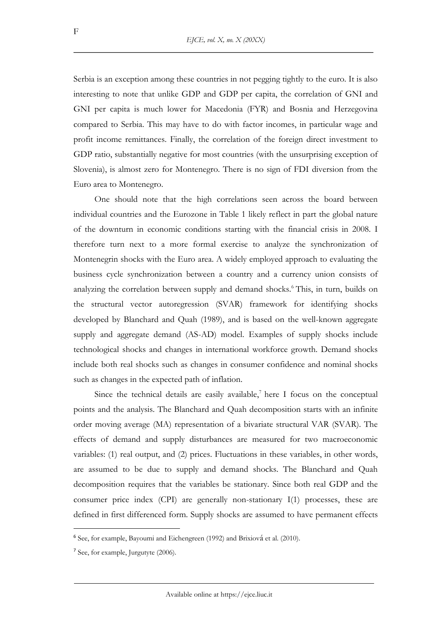Serbia is an exception among these countries in not pegging tightly to the euro. It is also interesting to note that unlike GDP and GDP per capita, the correlation of GNI and GNI per capita is much lower for Macedonia (FYR) and Bosnia and Herzegovina compared to Serbia. This may have to do with factor incomes, in particular wage and profit income remittances. Finally, the correlation of the foreign direct investment to GDP ratio, substantially negative for most countries (with the unsurprising exception of Slovenia), is almost zero for Montenegro. There is no sign of FDI diversion from the Euro area to Montenegro.

One should note that the high correlations seen across the board between individual countries and the Eurozone in Table 1 likely reflect in part the global nature of the downturn in economic conditions starting with the financial crisis in 2008. I therefore turn next to a more formal exercise to analyze the synchronization of Montenegrin shocks with the Euro area. A widely employed approach to evaluating the business cycle synchronization between a country and a currency union consists of analyzing the correlation between supply and demand shocks.<sup>6</sup> This, in turn, builds on the structural vector autoregression (SVAR) framework for identifying shocks developed by Blanchard and Quah (1989), and is based on the well-known aggregate supply and aggregate demand (AS-AD) model. Examples of supply shocks include technological shocks and changes in international workforce growth. Demand shocks include both real shocks such as changes in consumer confidence and nominal shocks such as changes in the expected path of inflation.

Since the technical details are easily available, $^7$  here I focus on the conceptual points and the analysis. The Blanchard and Quah decomposition starts with an infinite order moving average (MA) representation of a bivariate structural VAR (SVAR). The effects of demand and supply disturbances are measured for two macroeconomic variables: (1) real output, and (2) prices. Fluctuations in these variables, in other words, are assumed to be due to supply and demand shocks. The Blanchard and Quah decomposition requires that the variables be stationary. Since both real GDP and the consumer price index (CPI) are generally non-stationary I(1) processes, these are defined in first differenced form. Supply shocks are assumed to have permanent effects

F

<sup>6</sup> See, for example, Bayoumi and Eichengreen (1992) and Brixiová et al. (2010).

<sup>7</sup> See, for example, Jurgutyte (2006).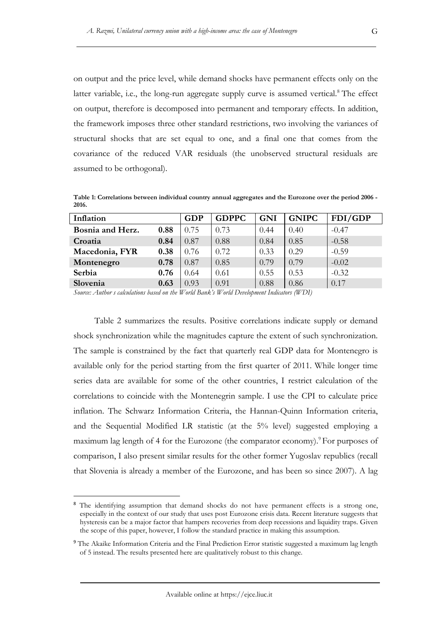on output and the price level, while demand shocks have permanent effects only on the latter variable, i.e., the long-run aggregate supply curve is assumed vertical. $8$  The effect on output, therefore is decomposed into permanent and temporary effects. In addition, the framework imposes three other standard restrictions, two involving the variances of structural shocks that are set equal to one, and a final one that comes from the covariance of the reduced VAR residuals (the unobserved structural residuals are assumed to be orthogonal).

**Table 1: Correlations between individual country annual aggregates and the Eurozone over the period 2006 - 2016.** 

| Inflation        |      | <b>GDP</b> | <b>GDPPC</b> | <b>GNI</b> | <b>GNIPC</b> | FDI/GDP |
|------------------|------|------------|--------------|------------|--------------|---------|
| Bosnia and Herz. | 0.88 | 0.75       | 0.73         | 0.44       | 0.40         | $-0.47$ |
| Croatia          | 0.84 | 0.87       | 0.88         | 0.84       | 0.85         | $-0.58$ |
| Macedonia, FYR   | 0.38 | 0.76       | 0.72         | 0.33       | 0.29         | $-0.59$ |
| Montenegro       | 0.78 | 0.87       | 0.85         | 0.79       | 0.79         | $-0.02$ |
| Serbia           | 0.76 | 0.64       | 0.61         | 0.55       | 0.53         | $-0.32$ |
| Slovenia         | 0.63 | 0.93       | 0.91         | 0.88       | 0.86         | 0.17    |

*Source: Author s calculations based on the World Bank's World Development Indicators (WDI)*

Table 2 summarizes the results. Positive correlations indicate supply or demand shock synchronization while the magnitudes capture the extent of such synchronization. The sample is constrained by the fact that quarterly real GDP data for Montenegro is available only for the period starting from the first quarter of 2011. While longer time series data are available for some of the other countries, I restrict calculation of the correlations to coincide with the Montenegrin sample. I use the CPI to calculate price inflation. The Schwarz Information Criteria, the Hannan-Quinn Information criteria, and the Sequential Modified LR statistic (at the 5% level) suggested employing a maximum lag length of 4 for the Eurozone (the comparator economy).<sup>9</sup> For purposes of comparison, I also present similar results for the other former Yugoslav republics (recall that Slovenia is already a member of the Eurozone, and has been so since 2007). A lag

<sup>&</sup>lt;sup>8</sup> The identifying assumption that demand shocks do not have permanent effects is a strong one, especially in the context of our study that uses post Eurozone crisis data. Recent literature suggests that hysteresis can be a major factor that hampers recoveries from deep recessions and liquidity traps. Given the scope of this paper, however, I follow the standard practice in making this assumption.

<sup>&</sup>lt;sup>9</sup> The Akaike Information Criteria and the Final Prediction Error statistic suggested a maximum lag length of 5 instead. The results presented here are qualitatively robust to this change.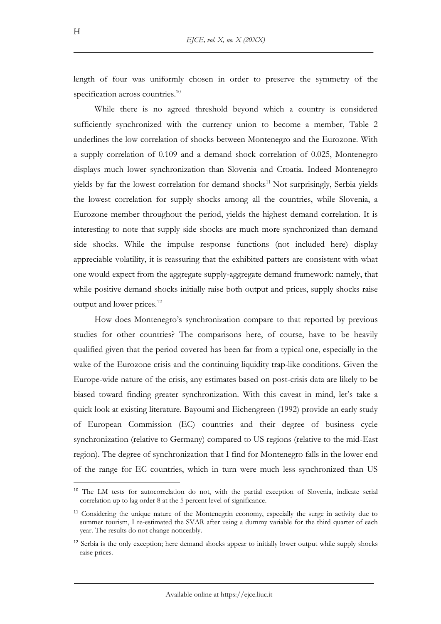length of four was uniformly chosen in order to preserve the symmetry of the specification across countries.<sup>10</sup>

While there is no agreed threshold beyond which a country is considered sufficiently synchronized with the currency union to become a member, Table 2 underlines the low correlation of shocks between Montenegro and the Eurozone. With a supply correlation of 0.109 and a demand shock correlation of 0.025, Montenegro displays much lower synchronization than Slovenia and Croatia. Indeed Montenegro yields by far the lowest correlation for demand shocks<sup>11</sup> Not surprisingly, Serbia yields the lowest correlation for supply shocks among all the countries, while Slovenia, a Eurozone member throughout the period, yields the highest demand correlation. It is interesting to note that supply side shocks are much more synchronized than demand side shocks. While the impulse response functions (not included here) display appreciable volatility, it is reassuring that the exhibited patters are consistent with what one would expect from the aggregate supply-aggregate demand framework: namely, that while positive demand shocks initially raise both output and prices, supply shocks raise output and lower prices.<sup>12</sup>

How does Montenegro's synchronization compare to that reported by previous studies for other countries? The comparisons here, of course, have to be heavily qualified given that the period covered has been far from a typical one, especially in the wake of the Eurozone crisis and the continuing liquidity trap-like conditions. Given the Europe-wide nature of the crisis, any estimates based on post-crisis data are likely to be biased toward finding greater synchronization. With this caveat in mind, let's take a quick look at existing literature. Bayoumi and Eichengreen (1992) provide an early study of European Commission (EC) countries and their degree of business cycle synchronization (relative to Germany) compared to US regions (relative to the mid-East region). The degree of synchronization that I find for Montenegro falls in the lower end of the range for EC countries, which in turn were much less synchronized than US

<sup>&</sup>lt;sup>10</sup> The LM tests for autocorrelation do not, with the partial exception of Slovenia, indicate serial correlation up to lag order 8 at the 5 percent level of significance.

<sup>&</sup>lt;sup>11</sup> Considering the unique nature of the Montenegrin economy, especially the surge in activity due to summer tourism, I re-estimated the SVAR after using a dummy variable for the third quarter of each year. The results do not change noticeably.

<sup>&</sup>lt;sup>12</sup> Serbia is the only exception; here demand shocks appear to initially lower output while supply shocks raise prices.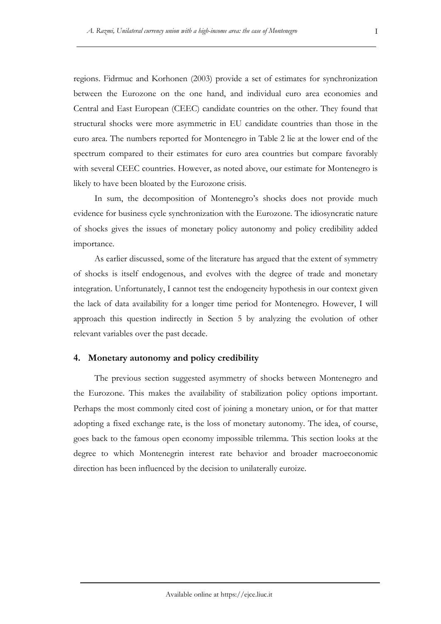regions. Fidrmuc and Korhonen (2003) provide a set of estimates for synchronization between the Eurozone on the one hand, and individual euro area economies and Central and East European (CEEC) candidate countries on the other. They found that structural shocks were more asymmetric in EU candidate countries than those in the euro area. The numbers reported for Montenegro in Table 2 lie at the lower end of the spectrum compared to their estimates for euro area countries but compare favorably with several CEEC countries. However, as noted above, our estimate for Montenegro is likely to have been bloated by the Eurozone crisis.

In sum, the decomposition of Montenegro's shocks does not provide much evidence for business cycle synchronization with the Eurozone. The idiosyncratic nature of shocks gives the issues of monetary policy autonomy and policy credibility added importance.

As earlier discussed, some of the literature has argued that the extent of symmetry of shocks is itself endogenous, and evolves with the degree of trade and monetary integration. Unfortunately, I cannot test the endogeneity hypothesis in our context given the lack of data availability for a longer time period for Montenegro. However, I will approach this question indirectly in Section 5 by analyzing the evolution of other relevant variables over the past decade.

### **4. Monetary autonomy and policy credibility**

The previous section suggested asymmetry of shocks between Montenegro and the Eurozone. This makes the availability of stabilization policy options important. Perhaps the most commonly cited cost of joining a monetary union, or for that matter adopting a fixed exchange rate, is the loss of monetary autonomy. The idea, of course, goes back to the famous open economy impossible trilemma. This section looks at the degree to which Montenegrin interest rate behavior and broader macroeconomic direction has been influenced by the decision to unilaterally euroize.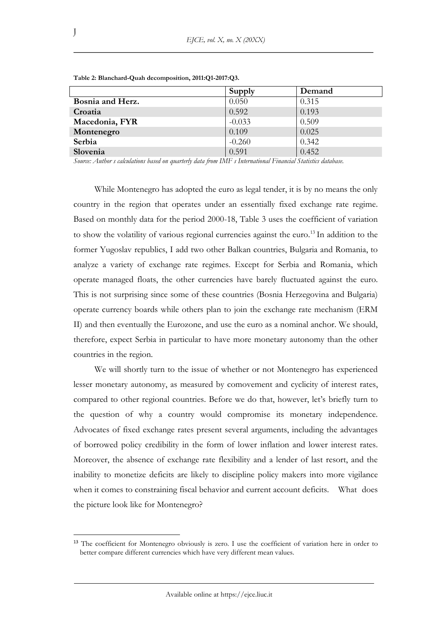|                  | Supply   | Demand |
|------------------|----------|--------|
| Bosnia and Herz. | 0.050    | 0.315  |
| Croatia          | 0.592    | 0.193  |
| Macedonia, FYR   | $-0.033$ | 0.509  |
| Montenegro       | 0.109    | 0.025  |
| Serbia           | $-0.260$ | 0.342  |
| Slovenia         | 0.591    | 0.452  |

**Table 2: Blanchard-Quah decomposition, 2011:Q1-2017:Q3.** 

*Source: Author s calculations based on quarterly data from IMF s International Financial Statistics database.*

While Montenegro has adopted the euro as legal tender, it is by no means the only country in the region that operates under an essentially fixed exchange rate regime. Based on monthly data for the period 2000-18, Table 3 uses the coefficient of variation to show the volatility of various regional currencies against the euro.<sup>13</sup> In addition to the former Yugoslav republics, I add two other Balkan countries, Bulgaria and Romania, to analyze a variety of exchange rate regimes. Except for Serbia and Romania, which operate managed floats, the other currencies have barely fluctuated against the euro. This is not surprising since some of these countries (Bosnia Herzegovina and Bulgaria) operate currency boards while others plan to join the exchange rate mechanism (ERM II) and then eventually the Eurozone, and use the euro as a nominal anchor. We should, therefore, expect Serbia in particular to have more monetary autonomy than the other countries in the region.

We will shortly turn to the issue of whether or not Montenegro has experienced lesser monetary autonomy, as measured by comovement and cyclicity of interest rates, compared to other regional countries. Before we do that, however, let's briefly turn to the question of why a country would compromise its monetary independence. Advocates of fixed exchange rates present several arguments, including the advantages of borrowed policy credibility in the form of lower inflation and lower interest rates. Moreover, the absence of exchange rate flexibility and a lender of last resort, and the inability to monetize deficits are likely to discipline policy makers into more vigilance when it comes to constraining fiscal behavior and current account deficits. What does the picture look like for Montenegro?

<sup>&</sup>lt;sup>13</sup> The coefficient for Montenegro obviously is zero. I use the coefficient of variation here in order to better compare different currencies which have very different mean values.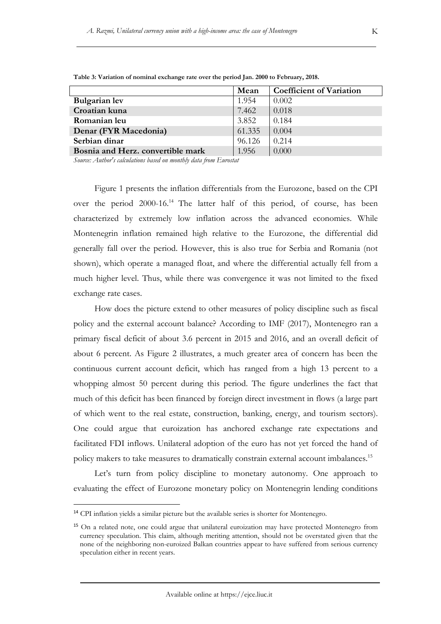|                                   | Mean   | <b>Coefficient of Variation</b> |
|-----------------------------------|--------|---------------------------------|
| <b>Bulgarian</b> lev              | 1.954  | 0.002                           |
| Croatian kuna                     | 7.462  | 0.018                           |
| Romanian leu                      | 3.852  | 0.184                           |
| Denar (FYR Macedonia)             | 61.335 | 0.004                           |
| Serbian dinar                     | 96.126 | 0.214                           |
| Bosnia and Herz. convertible mark | 1.956  | 0.000                           |

**Table 3: Variation of nominal exchange rate over the period Jan. 2000 to February, 2018.** 

*Source: Author's calculations based on monthly data from Eurostat*

Figure 1 presents the inflation differentials from the Eurozone, based on the CPI over the period 2000-16.<sup>14</sup> The latter half of this period, of course, has been characterized by extremely low inflation across the advanced economies. While Montenegrin inflation remained high relative to the Eurozone, the differential did generally fall over the period. However, this is also true for Serbia and Romania (not shown), which operate a managed float, and where the differential actually fell from a much higher level. Thus, while there was convergence it was not limited to the fixed exchange rate cases.

How does the picture extend to other measures of policy discipline such as fiscal policy and the external account balance? According to IMF (2017), Montenegro ran a primary fiscal deficit of about 3.6 percent in 2015 and 2016, and an overall deficit of about 6 percent. As Figure 2 illustrates, a much greater area of concern has been the continuous current account deficit, which has ranged from a high 13 percent to a whopping almost 50 percent during this period. The figure underlines the fact that much of this deficit has been financed by foreign direct investment in flows (a large part of which went to the real estate, construction, banking, energy, and tourism sectors). One could argue that euroization has anchored exchange rate expectations and facilitated FDI inflows. Unilateral adoption of the euro has not yet forced the hand of policy makers to take measures to dramatically constrain external account imbalances.<sup>15</sup>

Let's turn from policy discipline to monetary autonomy. One approach to evaluating the effect of Eurozone monetary policy on Montenegrin lending conditions

<sup>&</sup>lt;sup>14</sup> CPI inflation yields a similar picture but the available series is shorter for Montenegro.

<sup>15</sup> On a related note, one could argue that unilateral euroization may have protected Montenegro from currency speculation. This claim, although meriting attention, should not be overstated given that the none of the neighboring non-euroized Balkan countries appear to have suffered from serious currency speculation either in recent years.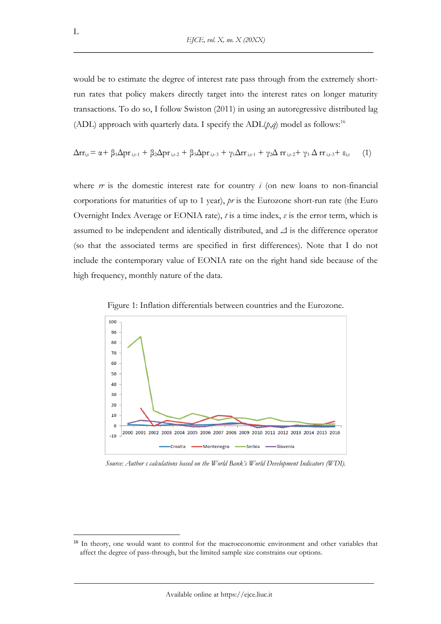would be to estimate the degree of interest rate pass through from the extremely shortrun rates that policy makers directly target into the interest rates on longer maturity transactions. To do so, I follow Swiston (2011) in using an autoregressive distributed lag (ADL) approach with quarterly data. I specify the  $ADL(p,q)$  model as follows:<sup>16</sup>

$$
\Delta r_{i,t} = \alpha + \beta_1 \Delta p r_{i,t-1} + \beta_2 \Delta p r_{i,t-2} + \beta_3 \Delta p r_{i,t-3} + \gamma_1 \Delta r r_{i,t-1} + \gamma_2 \Delta r r_{i,t-2} + \gamma_3 \Delta r r_{i,t-3} + \epsilon_{i,t} \tag{1}
$$

where *rr* is the domestic interest rate for country *i* (on new loans to non-financial corporations for maturities of up to 1 year), *pr* is the Eurozone short-run rate (the Euro Overnight Index Average or EONIA rate), *t* is a time index, *ε* is the error term, which is assumed to be independent and identically distributed, and *Δ* is the difference operator (so that the associated terms are specified in first differences). Note that I do not include the contemporary value of EONIA rate on the right hand side because of the high frequency, monthly nature of the data.



Figure 1: Inflation differentials between countries and the Eurozone.

*Source: Author s calculations based on the World Bank's World Development Indicators (WDI).*

<sup>&</sup>lt;sup>16</sup> In theory, one would want to control for the macroeconomic environment and other variables that affect the degree of pass-through, but the limited sample size constrains our options.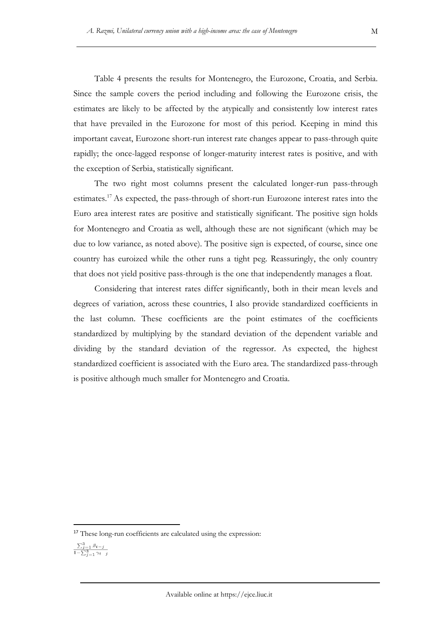Table 4 presents the results for Montenegro, the Eurozone, Croatia, and Serbia. Since the sample covers the period including and following the Eurozone crisis, the estimates are likely to be affected by the atypically and consistently low interest rates that have prevailed in the Eurozone for most of this period. Keeping in mind this important caveat, Eurozone short-run interest rate changes appear to pass-through quite rapidly; the once-lagged response of longer-maturity interest rates is positive, and with the exception of Serbia, statistically significant.

The two right most columns present the calculated longer-run pass-through estimates.<sup>17</sup> As expected, the pass-through of short-run Eurozone interest rates into the Euro area interest rates are positive and statistically significant. The positive sign holds for Montenegro and Croatia as well, although these are not significant (which may be due to low variance, as noted above). The positive sign is expected, of course, since one country has euroized while the other runs a tight peg. Reassuringly, the only country that does not yield positive pass-through is the one that independently manages a float.

Considering that interest rates differ significantly, both in their mean levels and degrees of variation, across these countries, I also provide standardized coefficients in the last column. These coefficients are the point estimates of the coefficients standardized by multiplying by the standard deviation of the dependent variable and dividing by the standard deviation of the regressor. As expected, the highest standardized coefficient is associated with the Euro area. The standardized pass-through is positive although much smaller for Montenegro and Croatia.

<sup>&</sup>lt;sup>17</sup> These long-run coefficients are calculated using the expression:

 $\frac{\sum_{j=1}^3 \beta_{t-j}}{1-\sum_{j=1}^3 \gamma_{t-j}}$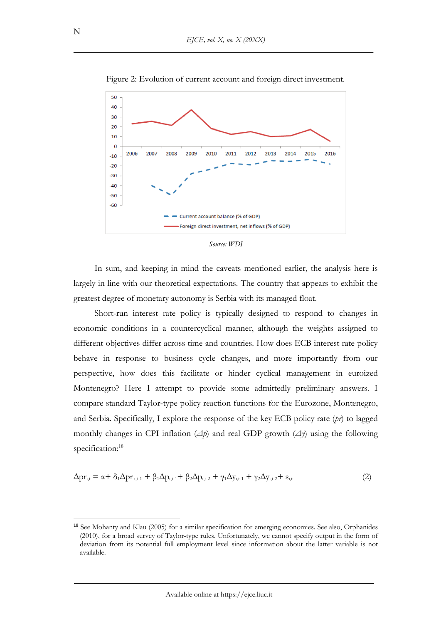

Figure 2: Evolution of current account and foreign direct investment.

*Source: WDI*

In sum, and keeping in mind the caveats mentioned earlier, the analysis here is largely in line with our theoretical expectations. The country that appears to exhibit the greatest degree of monetary autonomy is Serbia with its managed float.

Short-run interest rate policy is typically designed to respond to changes in economic conditions in a countercyclical manner, although the weights assigned to different objectives differ across time and countries. How does ECB interest rate policy behave in response to business cycle changes, and more importantly from our perspective, how does this facilitate or hinder cyclical management in euroized Montenegro? Here I attempt to provide some admittedly preliminary answers. I compare standard Taylor-type policy reaction functions for the Eurozone, Montenegro, and Serbia. Specifically, I explore the response of the key ECB policy rate (*pr*) to lagged monthly changes in CPI inflation (*Δp*) and real GDP growth (*Δy*) using the following specification: 18

$$
\Delta \mathbf{p} \mathbf{r}_{i,t} = \alpha + \delta_1 \Delta \mathbf{p} \mathbf{r}_{i,t-1} + \beta_1 \Delta \mathbf{p}_{i,t-1} + \beta_2 \Delta \mathbf{p}_{i,t-2} + \gamma_1 \Delta \mathbf{y}_{i,t-1} + \gamma_2 \Delta \mathbf{y}_{i,t-2} + \epsilon_{i,t} \tag{2}
$$

<sup>18</sup> See Mohanty and Klau (2005) for a similar specification for emerging economies. See also, Orphanides (2010), for a broad survey of Taylor-type rules. Unfortunately, we cannot specify output in the form of deviation from its potential full employment level since information about the latter variable is not available.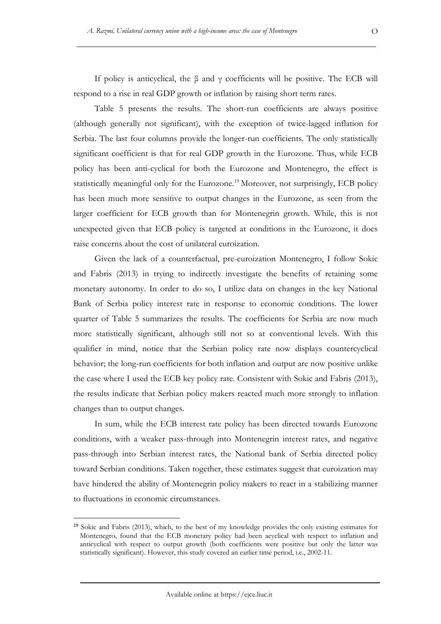If policy is anticyclical, the  $\beta$  and  $\gamma$  coefficients will be positive. The ECB will respond to a rise in real GDP growth or inflation by raising short term rates.

Table 5 presents the results. The short-run coefficients are always positive (although generally not significant), with the exception of twice-lagged inflation for Serbia. The last four columns provide the longer-run coefficients. The only statistically significant coefficient is that for real GDP growth in the Eurozone. Thus, while ECB policy has been anti-cyclical for both the Eurozone and Montenegro, the effect is statistically meaningful only for the Eurozone.<sup>19</sup> Moreover, not surprisingly, ECB policy has been much more sensitive to output changes in the Eurozone, as seen from the larger coefficient for ECB growth than for Montenegrin growth. While, this is not unexpected given that ECB policy is targeted at conditions in the Eurozone, it does raise concerns about the cost of unilateral euroization.

Given the lack of a counterfactual, pre-euroization Montenegro, I follow Sokic and Fabris (2013) in trying to indirectly investigate the benefits of retaining some monetary autonomy. In order to do so, I utilize data on changes in the key National Bank of Serbia policy interest rate in response to economic conditions. The lower quarter of Table 5 summarizes the results. The coefficients for Serbia are now much more statistically significant, although still not so at conventional levels. With this qualifier in mind, notice that the Serbian policy rate now displays countercyclical behavior; the long-run coefficients for both inflation and output are now positive unlike the case where I used the ECB key policy rate. Consistent with Sokic and Fabris (2013), the results indicate that Serbian policy makers reacted much more strongly to inflation changes than to output changes.

In sum, while the ECB interest rate policy has been directed towards Eurozone conditions, with a weaker pass-through into Montenegrin interest rates, and negative pass-through into Serbian interest rates, the National bank of Serbia directed policy toward Serbian conditions. Taken together, these estimates suggest that euroization may have hindered the ability of Montenegrin policy makers to react in a stabilizing manner to fluctuations in economic circumstances.

<sup>19</sup> Sokic and Fabris (2013), which, to the best of my knowledge provides the only existing estimates for Montenegro, found that the ECB monetary policy had been acyclical with respect to inflation and anticyclical with respect to output growth (both coefficients were positive but only the latter was statistically significant). However, this study covered an earlier time period, i.e., 2002-11.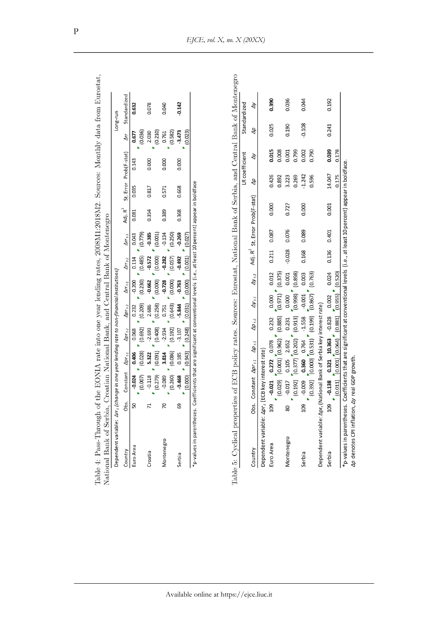| Table 4: Pass-Through of<br>National Bank of Serbia,                                                     |              | Croatian National Bank, and Central Bank of Montenegro |                          |                                |                                        |                     |                              |                     |                             |                                                                                                          |                   |                        |                     |              | f the EONIA rate into one year lending rates, 2008M1:2018M2. Sources: Monthly data from Eurostat,   |
|----------------------------------------------------------------------------------------------------------|--------------|--------------------------------------------------------|--------------------------|--------------------------------|----------------------------------------|---------------------|------------------------------|---------------------|-----------------------------|----------------------------------------------------------------------------------------------------------|-------------------|------------------------|---------------------|--------------|-----------------------------------------------------------------------------------------------------|
|                                                                                                          |              |                                                        |                          |                                |                                        |                     |                              |                     |                             |                                                                                                          |                   |                        |                     |              |                                                                                                     |
| Dependent variable: $\varDelta r$ r $_t$ (change in one year lending rate to non-financial institutions) |              |                                                        |                          |                                |                                        |                     |                              |                     |                             |                                                                                                          |                   |                        |                     | Long-run     |                                                                                                     |
| Country                                                                                                  | Obs.         | Constant                                               | $\Delta p r_{t \cdot 1}$ |                                | $\Delta p r_{t-2}$                     | $\Delta p r_{t=3}$  | $\Delta r r_{t\text{-}1}$    | $\Delta r r_{t-2}$  | $\Delta r$ r <sub>t-3</sub> | Adj. $R^2$                                                                                               |                   | St. Error Prob(F-stat) | Δr                  | Standardized |                                                                                                     |
| Euro Area                                                                                                | 50           | (0.007)<br>$-0.024$                                    | (0.028)<br>0.406         |                                | (0.692)<br>0.068                       | (0.209)<br>0.232    | (0.230)<br>$-0.200$          | (0.485)<br>0.114    | (0.779)<br>0.043            | 0.081                                                                                                    | 0.035             | 0.143                  | (0.036)<br>0.677    | 0.632        |                                                                                                     |
| Croatia                                                                                                  | $\mathbf{z}$ | $-0.118$<br>(0.279)                                    | (0.091)<br>5.322         |                                | (0.408)<br>$-2.693$                    | (0.258)<br>2.686    | (0.000)<br>$-0.662$          | (0.000)<br>$-0.572$ | (0.001)<br>$-0.385$         | 0.354                                                                                                    | 0.817             | 0.000                  | (0.210)<br>2.030    | 0.078        |                                                                                                     |
| Montenegro                                                                                               | $\sqrt{2}$   | $-0.089$<br>(0.260)                                    | (0.086)<br>3.814         |                                | (0.192)<br>$-2.934$                    | (0.643)<br>0.751    | (0.000)<br>$-0.728$          | (0.057)<br>$-0.282$ | $-0.134$<br>(0.250)         | 0.389                                                                                                    | 0.571             | 0.000                  | (0.582)<br>0.761    | 0.040        |                                                                                                     |
| Serbia                                                                                                   | 69           | (0.000)<br>$-0.468$                                    | (0.943)<br>0.185         | (0.248)                        | $-3.107$                               | (0.031)<br>$-5.844$ | (0.000)<br>$-0.763$          | (0.001)<br>$-0.492$ | $-0.269$<br>(0.027)         | 0.368                                                                                                    | 0.668             | 0.000                  | $-3.473$<br>(0.023) | $-0.142$     |                                                                                                     |
| Table 5: Cyclical propert<br>*p-values in parentheses. (                                                 |              |                                                        |                          |                                |                                        |                     |                              |                     |                             | Coefficients that are significant at conventional levels (i.e., at least 10 percent) appear in boldface  |                   |                        |                     |              | ies of ECB policy rates. Sources: Eurostat, National Bank of Serbia, and Central Bank of Montenegro |
|                                                                                                          |              |                                                        |                          |                                |                                        |                     |                              |                     |                             |                                                                                                          |                   | LR coefficient         |                     | Standardized |                                                                                                     |
| Country                                                                                                  | Obs.         | Constant $\Delta p r_{t-1}$                            |                          | $\Delta p_{t-1}$               | $\Delta p$ <sub>t-2</sub>              | $\Delta y_{t-1}$    | $\Delta y_{t\text{-}2}$      | Adj. R <sup>2</sup> |                             | St. Error Prob(F-stat)                                                                                   | ЪP                | À                      | ЪP                  |              | à                                                                                                   |
| Dependent variable: Apr <sub>t</sub>                                                                     |              | (ECB key interest rate)                                |                          |                                |                                        |                     |                              |                     |                             |                                                                                                          |                   |                        |                     |              |                                                                                                     |
| Euro Area                                                                                                | <b>901</b>   | (0.029)<br>$-0.021$                                    | 0.272                    | (0.001)(0.962)<br>0.078        | (0.885)<br>0.232                       | (0.971)<br>0.000    | (0.375)<br>0.012             | 0.211               | 0.087                       | 0.000                                                                                                    | 0.426<br>0.892    | 0.015<br>0.008         | 0.025               |              | 0.390                                                                                               |
| Montenegro                                                                                               | 80           | (0.192)<br>$-0.017$                                    | 0.105                    | $(0.377)$ $(0.202)$<br>2.652   | (0.913)<br>0.231                       | (0.998)<br>0.000    | (0.898)<br>0.001             | $-0.028$            | 0.076                       | 0.727                                                                                                    | 3.223<br>0.269    | 0.799<br>0.001         | 0.190               |              | 0.036                                                                                               |
| Serbia                                                                                                   | 109          | (0.392)<br>$-0.009$                                    | 0.360                    | 0.764                          | $(0.000)(0.531)$ $(0.199)$<br>$-1.558$ | (0.867)<br>$-0.001$ | (0.763)<br>0.003             | 0.168               | 0.089                       | 0.000                                                                                                    | $-1.242$<br>0.596 | 0.002<br>0.790         | $-0.108$            |              | 0.044                                                                                               |
| Dependent variable: Apr <sub>t</sub> (                                                                   |              | National Bank of Serbia key interest rate)             |                          |                                |                                        |                     |                              |                     |                             |                                                                                                          |                   |                        |                     |              |                                                                                                     |
| Serbia                                                                                                   | 109          | (0.011)<br>$-0.138$                                    |                          | (0.001)(0.064)<br>0.321 10.363 | (0.881)<br>$-0.828$                    | 0.002               | $(0.955)$ $(0.520)$<br>0.024 | 0.136               | 0.401                       | 0.001                                                                                                    | 14.047<br>0.175   | 0.039<br>0.178         | 0.241               |              | 0.192                                                                                               |
| *p-values in parentheses.                                                                                |              |                                                        |                          |                                |                                        |                     |                              |                     |                             | Coefficients that are significant at conventional levels (i.e., at least 10 percent) appear in boldface. |                   |                        |                     |              |                                                                                                     |
|                                                                                                          |              |                                                        |                          |                                |                                        |                     |                              |                     |                             |                                                                                                          |                   |                        |                     |              |                                                                                                     |
| Ap denotes CPI inflation, Ay real GDP growth.                                                            |              |                                                        |                          |                                |                                        |                     |                              |                     |                             |                                                                                                          |                   |                        |                     |              |                                                                                                     |

P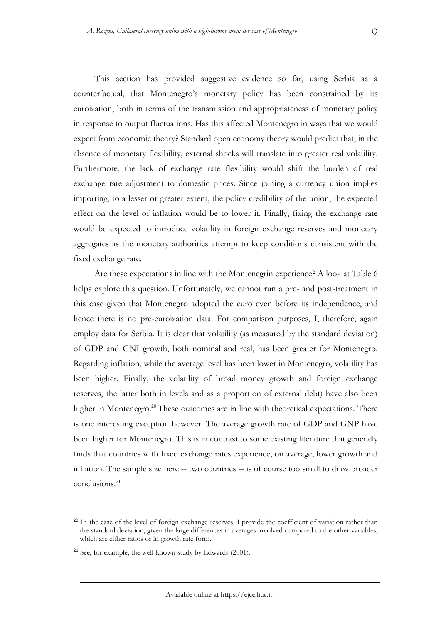This section has provided suggestive evidence so far, using Serbia as a counterfactual, that Montenegro's monetary policy has been constrained by its euroization, both in terms of the transmission and appropriateness of monetary policy in response to output fluctuations. Has this affected Montenegro in ways that we would expect from economic theory? Standard open economy theory would predict that, in the absence of monetary flexibility, external shocks will translate into greater real volatility. Furthermore, the lack of exchange rate flexibility would shift the burden of real exchange rate adjustment to domestic prices. Since joining a currency union implies importing, to a lesser or greater extent, the policy credibility of the union, the expected effect on the level of inflation would be to lower it. Finally, fixing the exchange rate would be expected to introduce volatility in foreign exchange reserves and monetary aggregates as the monetary authorities attempt to keep conditions consistent with the fixed exchange rate.

Are these expectations in line with the Montenegrin experience? A look at Table 6 helps explore this question. Unfortunately, we cannot run a pre- and post-treatment in this case given that Montenegro adopted the euro even before its independence, and hence there is no pre-euroization data. For comparison purposes, I, therefore, again employ data for Serbia. It is clear that volatility (as measured by the standard deviation) of GDP and GNI growth, both nominal and real, has been greater for Montenegro. Regarding inflation, while the average level has been lower in Montenegro, volatility has been higher. Finally, the volatility of broad money growth and foreign exchange reserves, the latter both in levels and as a proportion of external debt) have also been higher in Montenegro.<sup>20</sup> These outcomes are in line with theoretical expectations. There is one interesting exception however. The average growth rate of GDP and GNP have been higher for Montenegro. This is in contrast to some existing literature that generally finds that countries with fixed exchange rates experience, on average, lower growth and inflation. The sample size here -- two countries -- is of course too small to draw broader conclusions.<sup>21</sup>

<sup>&</sup>lt;sup>20</sup> In the case of the level of foreign exchange reserves, I provide the coefficient of variation rather than the standard deviation, given the large differences in averages involved compared to the other variables, which are either ratios or in growth rate form.

<sup>&</sup>lt;sup>21</sup> See, for example, the well-known study by Edwards (2001).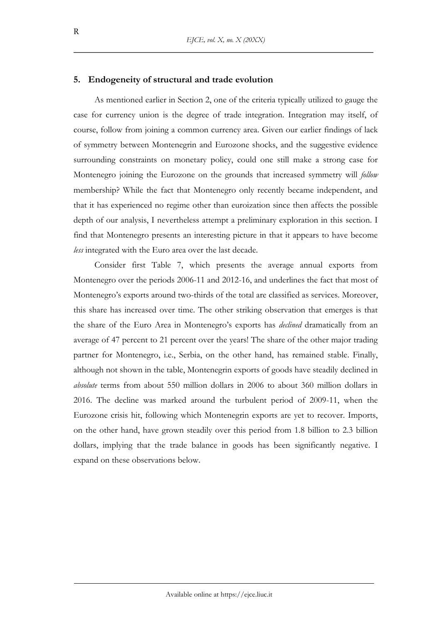### **5. Endogeneity of structural and trade evolution**

As mentioned earlier in Section 2, one of the criteria typically utilized to gauge the case for currency union is the degree of trade integration. Integration may itself, of course, follow from joining a common currency area. Given our earlier findings of lack of symmetry between Montenegrin and Eurozone shocks, and the suggestive evidence surrounding constraints on monetary policy, could one still make a strong case for Montenegro joining the Eurozone on the grounds that increased symmetry will *follow*  membership? While the fact that Montenegro only recently became independent, and that it has experienced no regime other than euroization since then affects the possible depth of our analysis, I nevertheless attempt a preliminary exploration in this section. I find that Montenegro presents an interesting picture in that it appears to have become *less* integrated with the Euro area over the last decade.

Consider first Table 7, which presents the average annual exports from Montenegro over the periods 2006-11 and 2012-16, and underlines the fact that most of Montenegro's exports around two-thirds of the total are classified as services. Moreover, this share has increased over time. The other striking observation that emerges is that the share of the Euro Area in Montenegro's exports has *declined* dramatically from an average of 47 percent to 21 percent over the years! The share of the other major trading partner for Montenegro, i.e., Serbia, on the other hand, has remained stable. Finally, although not shown in the table, Montenegrin exports of goods have steadily declined in *absolute* terms from about 550 million dollars in 2006 to about 360 million dollars in 2016. The decline was marked around the turbulent period of 2009-11, when the Eurozone crisis hit, following which Montenegrin exports are yet to recover. Imports, on the other hand, have grown steadily over this period from 1.8 billion to 2.3 billion dollars, implying that the trade balance in goods has been significantly negative. I expand on these observations below.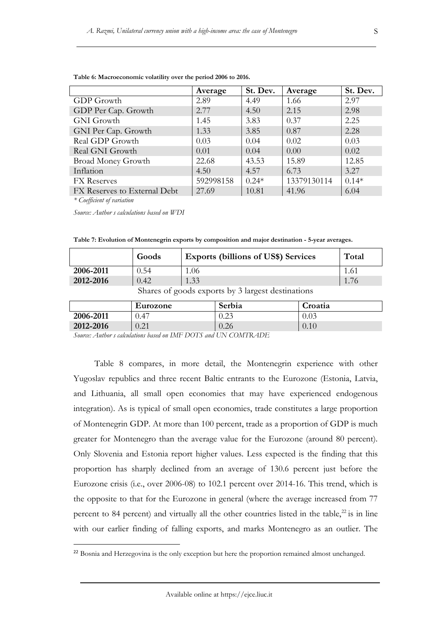|                              | Average   | St. Dev. | Average     | St. Dev. |
|------------------------------|-----------|----------|-------------|----------|
| GDP Growth                   | 2.89      | 4.49     | 1.66        | 2.97     |
| GDP Per Cap. Growth          | 2.77      | 4.50     | 2.15        | 2.98     |
| <b>GNI</b> Growth            | 1.45      | 3.83     | 0.37        | 2.25     |
| GNI Per Cap. Growth          | 1.33      | 3.85     | 0.87        | 2.28     |
| Real GDP Growth              | 0.03      | 0.04     | 0.02        | 0.03     |
| Real GNI Growth              | 0.01      | 0.04     | 0.00        | 0.02     |
| <b>Broad Money Growth</b>    | 22.68     | 43.53    | 15.89       | 12.85    |
| Inflation                    | 4.50      | 4.57     | 6.73        | 3.27     |
| <b>FX</b> Reserves           | 592998158 | $0.24*$  | 13379130114 | $0.14*$  |
| FX Reserves to External Debt | 27.69     | 10.81    | 41.96       | 6.04     |

**Table 6: Macroeconomic volatility over the period 2006 to 2016.** 

*\* Coefficient of variation*

*Source: Author s calculations based on WDI*

**Table 7: Evolution of Montenegrin exports by composition and major destination - 5-year averages.** 

|           | Goods    | <b>Exports (billions of US\$) Services</b>    | Total |
|-----------|----------|-----------------------------------------------|-------|
| 2006-2011 | 0.54     | 1.06                                          |       |
| 2012-2016 | 0.42     | 1.33                                          | 1.76  |
|           | $\cap$ 1 | $\sim$ 1 $\sim$ $\sim$<br>$\cdot$ 1 $\cdot$ 1 |       |

Shares of goods exports by 3 largest destinations

|           | Eurozone                 | Serbia        | Croatia  |
|-----------|--------------------------|---------------|----------|
| 2006-2011 | J.47                     | ገ 23<br>ن ڪول | 0.03     |
| 2012-2016 | ገ 21<br>$J \cdot \Delta$ | 0.26          | $0.10\,$ |

*Source: Author s calculations based on IMF DOTS and UN COMTRADE*

Table 8 compares, in more detail, the Montenegrin experience with other Yugoslav republics and three recent Baltic entrants to the Eurozone (Estonia, Latvia, and Lithuania, all small open economies that may have experienced endogenous integration). As is typical of small open economies, trade constitutes a large proportion of Montenegrin GDP. At more than 100 percent, trade as a proportion of GDP is much greater for Montenegro than the average value for the Eurozone (around 80 percent). Only Slovenia and Estonia report higher values. Less expected is the finding that this proportion has sharply declined from an average of 130.6 percent just before the Eurozone crisis (i.e., over 2006-08) to 102.1 percent over 2014-16. This trend, which is the opposite to that for the Eurozone in general (where the average increased from 77 percent to 84 percent) and virtually all the other countries listed in the table, $^{22}$  is in line with our earlier finding of falling exports, and marks Montenegro as an outlier. The

<sup>&</sup>lt;sup>22</sup> Bosnia and Herzegovina is the only exception but here the proportion remained almost unchanged.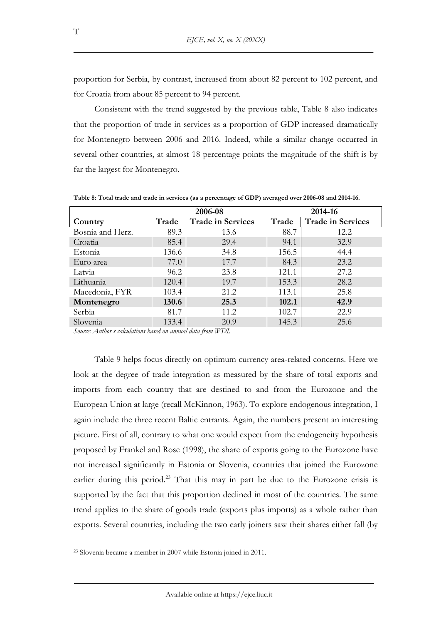proportion for Serbia, by contrast, increased from about 82 percent to 102 percent, and for Croatia from about 85 percent to 94 percent.

Consistent with the trend suggested by the previous table, Table 8 also indicates that the proportion of trade in services as a proportion of GDP increased dramatically for Montenegro between 2006 and 2016. Indeed, while a similar change occurred in several other countries, at almost 18 percentage points the magnitude of the shift is by far the largest for Montenegro.

|                  |       | 2006-08                  |       | 2014-16                  |
|------------------|-------|--------------------------|-------|--------------------------|
| Country          | Trade | <b>Trade in Services</b> | Trade | <b>Trade in Services</b> |
| Bosnia and Herz. | 89.3  | 13.6                     | 88.7  | 12.2                     |
| Croatia          | 85.4  | 29.4                     | 94.1  | 32.9                     |
| Estonia          | 136.6 | 34.8                     | 156.5 | 44.4                     |
| Euro area        | 77.0  | 17.7                     | 84.3  | 23.2                     |
| Latvia           | 96.2  | 23.8                     | 121.1 | 27.2                     |
| Lithuania        | 120.4 | 19.7                     | 153.3 | 28.2                     |
| Macedonia, FYR   | 103.4 | 21.2                     | 113.1 | 25.8                     |
| Montenegro       | 130.6 | 25.3                     | 102.1 | 42.9                     |
| Serbia           | 81.7  | 11.2                     | 102.7 | 22.9                     |
| Slovenia         | 133.4 | 20.9                     | 145.3 | 25.6                     |

**Table 8: Total trade and trade in services (as a percentage of GDP) averaged over 2006-08 and 2014-16.** 

*Source: Author s calculations based on annual data from WDI.*

Table 9 helps focus directly on optimum currency area-related concerns. Here we look at the degree of trade integration as measured by the share of total exports and imports from each country that are destined to and from the Eurozone and the European Union at large (recall McKinnon, 1963). To explore endogenous integration, I again include the three recent Baltic entrants. Again, the numbers present an interesting picture. First of all, contrary to what one would expect from the endogeneity hypothesis proposed by Frankel and Rose (1998), the share of exports going to the Eurozone have not increased significantly in Estonia or Slovenia, countries that joined the Eurozone earlier during this period.<sup>23</sup> That this may in part be due to the Eurozone crisis is supported by the fact that this proportion declined in most of the countries. The same trend applies to the share of goods trade (exports plus imports) as a whole rather than exports. Several countries, including the two early joiners saw their shares either fall (by

T

<sup>23</sup> Slovenia became a member in 2007 while Estonia joined in 2011.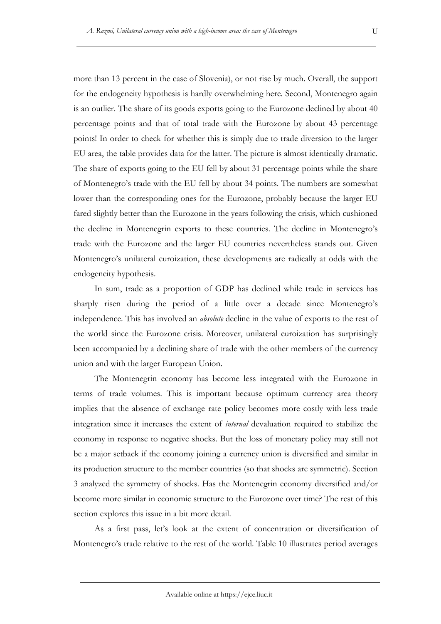more than 13 percent in the case of Slovenia), or not rise by much. Overall, the support for the endogeneity hypothesis is hardly overwhelming here. Second, Montenegro again is an outlier. The share of its goods exports going to the Eurozone declined by about 40 percentage points and that of total trade with the Eurozone by about 43 percentage points! In order to check for whether this is simply due to trade diversion to the larger EU area, the table provides data for the latter. The picture is almost identically dramatic. The share of exports going to the EU fell by about 31 percentage points while the share of Montenegro's trade with the EU fell by about 34 points. The numbers are somewhat lower than the corresponding ones for the Eurozone, probably because the larger EU fared slightly better than the Eurozone in the years following the crisis, which cushioned the decline in Montenegrin exports to these countries. The decline in Montenegro's trade with the Eurozone and the larger EU countries nevertheless stands out. Given Montenegro's unilateral euroization, these developments are radically at odds with the endogeneity hypothesis.

In sum, trade as a proportion of GDP has declined while trade in services has sharply risen during the period of a little over a decade since Montenegro's independence. This has involved an *absolute* decline in the value of exports to the rest of the world since the Eurozone crisis. Moreover, unilateral euroization has surprisingly been accompanied by a declining share of trade with the other members of the currency union and with the larger European Union.

The Montenegrin economy has become less integrated with the Eurozone in terms of trade volumes. This is important because optimum currency area theory implies that the absence of exchange rate policy becomes more costly with less trade integration since it increases the extent of *internal* devaluation required to stabilize the economy in response to negative shocks. But the loss of monetary policy may still not be a major setback if the economy joining a currency union is diversified and similar in its production structure to the member countries (so that shocks are symmetric). Section 3 analyzed the symmetry of shocks. Has the Montenegrin economy diversified and/or become more similar in economic structure to the Eurozone over time? The rest of this section explores this issue in a bit more detail.

As a first pass, let's look at the extent of concentration or diversification of Montenegro's trade relative to the rest of the world. Table 10 illustrates period averages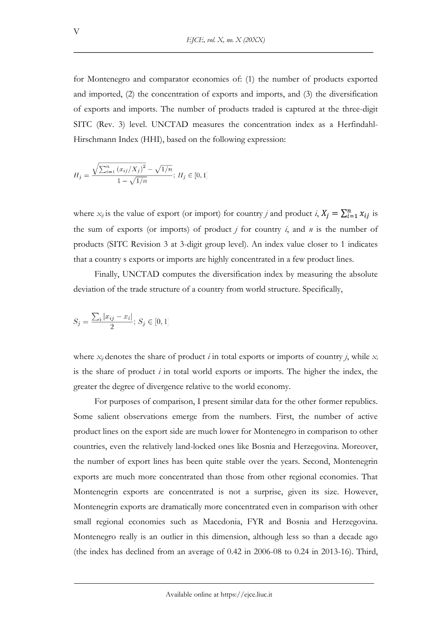for Montenegro and comparator economies of: (1) the number of products exported and imported, (2) the concentration of exports and imports, and (3) the diversification of exports and imports. The number of products traded is captured at the three-digit SITC (Rev. 3) level. UNCTAD measures the concentration index as a Herfindahl-Hirschmann Index (HHI), based on the following expression:

$$
H_j = \frac{\sqrt{\sum_{i=1}^n (x_{ij}/X_j)^2} - \sqrt{1/n}}{1 - \sqrt{1/n}}; H_j \in [0, 1]
$$

where  $x_{ij}$  is the value of export (or import) for country *j* and product *i*,  $X_j = \sum_{i=1}^n x_{ij}$  is the sum of exports (or imports) of product  $j$  for country  $i$ , and  $n$  is the number of products (SITC Revision 3 at 3-digit group level). An index value closer to 1 indicates that a country s exports or imports are highly concentrated in a few product lines.

Finally, UNCTAD computes the diversification index by measuring the absolute deviation of the trade structure of a country from world structure. Specifically,

$$
S_j = \frac{\sum_i |x_{ij} - x_i|}{2};\, S_j \in [0,1]
$$

where  $x_{ij}$  denotes the share of product *i* in total exports or imports of country *j*, while  $x_i$ is the share of product *i* in total world exports or imports. The higher the index, the greater the degree of divergence relative to the world economy.

For purposes of comparison, I present similar data for the other former republics. Some salient observations emerge from the numbers. First, the number of active product lines on the export side are much lower for Montenegro in comparison to other countries, even the relatively land-locked ones like Bosnia and Herzegovina. Moreover, the number of export lines has been quite stable over the years. Second, Montenegrin exports are much more concentrated than those from other regional economies. That Montenegrin exports are concentrated is not a surprise, given its size. However, Montenegrin exports are dramatically more concentrated even in comparison with other small regional economies such as Macedonia, FYR and Bosnia and Herzegovina. Montenegro really is an outlier in this dimension, although less so than a decade ago (the index has declined from an average of 0.42 in 2006-08 to 0.24 in 2013-16). Third,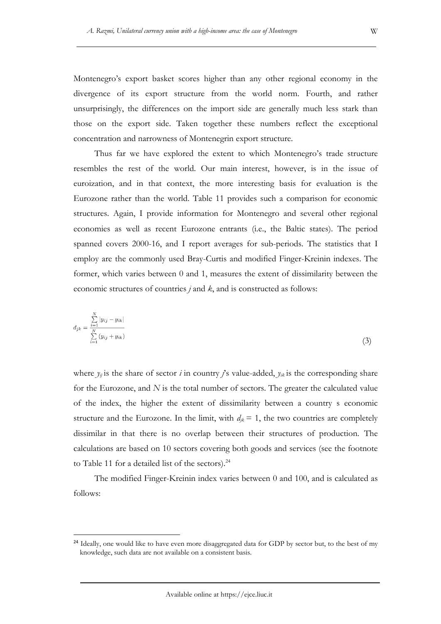Montenegro's export basket scores higher than any other regional economy in the divergence of its export structure from the world norm. Fourth, and rather unsurprisingly, the differences on the import side are generally much less stark than those on the export side. Taken together these numbers reflect the exceptional concentration and narrowness of Montenegrin export structure.

Thus far we have explored the extent to which Montenegro's trade structure resembles the rest of the world. Our main interest, however, is in the issue of euroization, and in that context, the more interesting basis for evaluation is the Eurozone rather than the world. Table 11 provides such a comparison for economic structures. Again, I provide information for Montenegro and several other regional economies as well as recent Eurozone entrants (i.e., the Baltic states). The period spanned covers 2000-16, and I report averages for sub-periods. The statistics that I employ are the commonly used Bray-Curtis and modified Finger-Kreinin indexes. The former, which varies between 0 and 1, measures the extent of dissimilarity between the economic structures of countries *j* and *k*, and is constructed as follows:

$$
d_{jk} = \frac{\sum_{i=1}^{N} |y_{ij} - y_{ik}|}{\sum_{i=1}^{N} (y_{ij} + y_{ik})}
$$
(3)

where  $y_{ij}$  is the share of sector *i* in country *j*'s value-added,  $y_{ik}$  is the corresponding share for the Eurozone, and *N* is the total number of sectors. The greater the calculated value of the index, the higher the extent of dissimilarity between a country s economic structure and the Eurozone. In the limit, with  $d_{ik} = 1$ , the two countries are completely dissimilar in that there is no overlap between their structures of production. The calculations are based on 10 sectors covering both goods and services (see the footnote to Table 11 for a detailed list of the sectors). $24$ 

The modified Finger-Kreinin index varies between 0 and 100, and is calculated as follows:

<sup>&</sup>lt;sup>24</sup> Ideally, one would like to have even more disaggregated data for GDP by sector but, to the best of my knowledge, such data are not available on a consistent basis.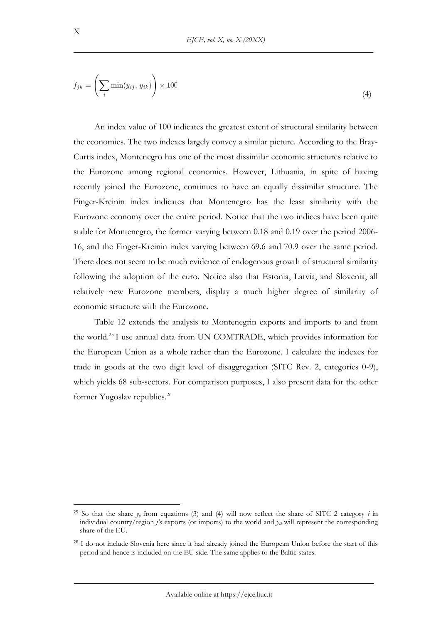$$
f_{jk} = \left(\sum_{i} \min(y_{ij}, y_{ik})\right) \times 100\tag{4}
$$

An index value of 100 indicates the greatest extent of structural similarity between the economies. The two indexes largely convey a similar picture. According to the Bray-Curtis index, Montenegro has one of the most dissimilar economic structures relative to the Eurozone among regional economies. However, Lithuania, in spite of having recently joined the Eurozone, continues to have an equally dissimilar structure. The Finger-Kreinin index indicates that Montenegro has the least similarity with the Eurozone economy over the entire period. Notice that the two indices have been quite stable for Montenegro, the former varying between 0.18 and 0.19 over the period 2006- 16, and the Finger-Kreinin index varying between 69.6 and 70.9 over the same period. There does not seem to be much evidence of endogenous growth of structural similarity following the adoption of the euro. Notice also that Estonia, Latvia, and Slovenia, all relatively new Eurozone members, display a much higher degree of similarity of economic structure with the Eurozone.

Table 12 extends the analysis to Montenegrin exports and imports to and from the world.<sup>25</sup> I use annual data from UN COMTRADE, which provides information for the European Union as a whole rather than the Eurozone. I calculate the indexes for trade in goods at the two digit level of disaggregation (SITC Rev. 2, categories 0-9), which yields 68 sub-sectors. For comparison purposes, I also present data for the other former Yugoslav republics.<sup>26</sup>

<sup>&</sup>lt;sup>25</sup> So that the share  $y_{ij}$  from equations (3) and (4) will now reflect the share of SITC 2 category *i* in individual country/region *j'*s exports (or imports) to the world and *yik* will represent the corresponding share of the EU.

<sup>&</sup>lt;sup>26</sup> I do not include Slovenia here since it had already joined the European Union before the start of this period and hence is included on the EU side. The same applies to the Baltic states.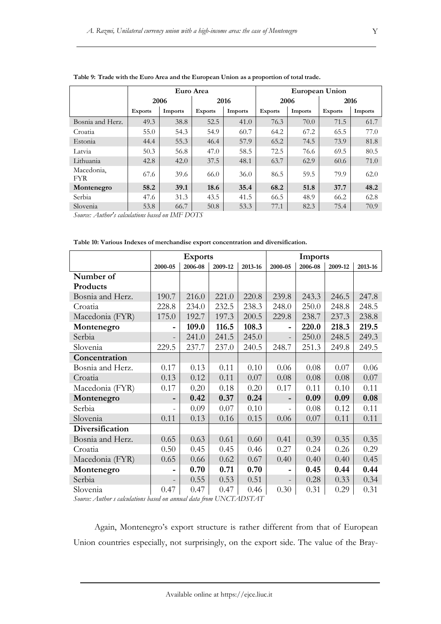|                          |                |         | Euro Area      |         |                |         | <b>European Union</b> |         |
|--------------------------|----------------|---------|----------------|---------|----------------|---------|-----------------------|---------|
|                          |                | 2006    |                | 2016    |                | 2006    |                       | 2016    |
|                          | <b>Exports</b> | Imports | <b>Exports</b> | Imports | <b>Exports</b> | Imports | <b>Exports</b>        | Imports |
| Bosnia and Herz.         | 49.3           | 38.8    | 52.5           | 41.0    | 76.3           | 70.0    | 71.5                  | 61.7    |
| Croatia                  | 55.0           | 54.3    | 54.9           | 60.7    | 64.2           | 67.2    | 65.5                  | 77.0    |
| Estonia                  | 44.4           | 55.3    | 46.4           | 57.9    | 65.2           | 74.5    | 73.9                  | 81.8    |
| Latvia                   | 50.3           | 56.8    | 47.0           | 58.5    | 72.5           | 76.6    | 69.5                  | 80.5    |
| Lithuania                | 42.8           | 42.0    | 37.5           | 48.1    | 63.7           | 62.9    | 60.6                  | 71.0    |
| Macedonia,<br><b>FYR</b> | 67.6           | 39.6    | 66.0           | 36.0    | 86.5           | 59.5    | 79.9                  | 62.0    |
| Montenegro               | 58.2           | 39.1    | 18.6           | 35.4    | 68.2           | 51.8    | 37.7                  | 48.2    |
| Serbia                   | 47.6           | 31.3    | 43.5           | 41.5    | 66.5           | 48.9    | 66.2                  | 62.8    |
| Slovenia                 | 53.8           | 66.7    | 50.8           | 53.3    | 77.1           | 82.3    | 75.4                  | 70.9    |

**Table 9: Trade with the Euro Area and the European Union as a proportion of total trade.**

*Source: Author's calculations based on IMF DOTS*

|                  |                          | <b>Exports</b> |         |         |                          | <b>Imports</b> |         |         |
|------------------|--------------------------|----------------|---------|---------|--------------------------|----------------|---------|---------|
|                  | 2000-05                  | 2006-08        | 2009-12 | 2013-16 | 2000-05                  | 2006-08        | 2009-12 | 2013-16 |
| Number of        |                          |                |         |         |                          |                |         |         |
| Products         |                          |                |         |         |                          |                |         |         |
| Bosnia and Herz. | 190.7                    | 216.0          | 221.0   | 220.8   | 239.8                    | 243.3          | 246.5   | 247.8   |
| Croatia          | 228.8                    | 234.0          | 232.5   | 238.3   | 248.0                    | 250.0          | 248.8   | 248.5   |
| Macedonia (FYR)  | 175.0                    | 192.7          | 197.3   | 200.5   | 229.8                    | 238.7          | 237.3   | 238.8   |
| Montenegro       |                          | 109.0          | 116.5   | 108.3   |                          | 220.0          | 218.3   | 219.5   |
| Serbia           | $\overline{\phantom{0}}$ | 241.0          | 241.5   | 245.0   |                          | 250.0          | 248.5   | 249.3   |
| Slovenia         | 229.5                    | 237.7          | 237.0   | 240.5   | 248.7                    | 251.3          | 249.8   | 249.5   |
| Concentration    |                          |                |         |         |                          |                |         |         |
| Bosnia and Herz. | 0.17                     | 0.13           | 0.11    | 0.10    | 0.06                     | 0.08           | 0.07    | 0.06    |
| Croatia          | 0.13                     | 0.12           | 0.11    | 0.07    | 0.08                     | 0.08           | 0.08    | 0.07    |
| Macedonia (FYR)  | 0.17                     | 0.20           | 0.18    | 0.20    | 0.17                     | 0.11           | 0.10    | 0.11    |
| Montenegro       |                          | 0.42           | 0.37    | 0.24    |                          | 0.09           | 0.09    | 0.08    |
| Serbia           | $\overline{\phantom{a}}$ | 0.09           | 0.07    | 0.10    | $\overline{\phantom{a}}$ | 0.08           | 0.12    | 0.11    |
| Slovenia         | 0.11                     | 0.13           | 0.16    | 0.15    | 0.06                     | 0.07           | 0.11    | 0.11    |
| Diversification  |                          |                |         |         |                          |                |         |         |
| Bosnia and Herz. | 0.65                     | 0.63           | 0.61    | 0.60    | 0.41                     | 0.39           | 0.35    | 0.35    |
| Croatia          | 0.50                     | 0.45           | 0.45    | 0.46    | 0.27                     | 0.24           | 0.26    | 0.29    |
| Macedonia (FYR)  | 0.65                     | 0.66           | 0.62    | 0.67    | 0.40                     | 0.40           | 0.40    | 0.45    |
| Montenegro       |                          | 0.70           | 0.71    | 0.70    |                          | 0.45           | 0.44    | 0.44    |
| Serbia           |                          | 0.55           | 0.53    | 0.51    |                          | 0.28           | 0.33    | 0.34    |
| Slovenia         | 0.47                     | 0.47           | 0.47    | 0.46    | 0.30                     | 0.31           | 0.29    | 0.31    |

**Table 10: Various Indexes of merchandise export concentration and diversification.**

*Source: Author s calculations based on annual data from UNCTADSTAT*

Again, Montenegro's export structure is rather different from that of European Union countries especially, not surprisingly, on the export side. The value of the Bray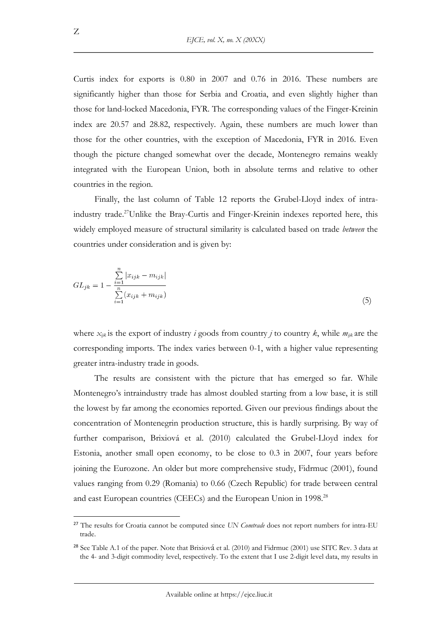Curtis index for exports is 0.80 in 2007 and 0.76 in 2016. These numbers are significantly higher than those for Serbia and Croatia, and even slightly higher than those for land-locked Macedonia, FYR. The corresponding values of the Finger-Kreinin index are 20.57 and 28.82, respectively. Again, these numbers are much lower than those for the other countries, with the exception of Macedonia, FYR in 2016. Even though the picture changed somewhat over the decade, Montenegro remains weakly integrated with the European Union, both in absolute terms and relative to other countries in the region.

Finally, the last column of Table 12 reports the Grubel-Lloyd index of intraindustry trade.<sup>27</sup>Unlike the Bray-Curtis and Finger-Kreinin indexes reported here, this widely employed measure of structural similarity is calculated based on trade *between* the countries under consideration and is given by:

$$
GL_{jk} = 1 - \frac{\sum_{i=1}^{n} |x_{ijk} - m_{ijk}|}{\sum_{i=1}^{n} (x_{ijk} + m_{ijk})}
$$
\n(5)

where  $x_{ijk}$  is the export of industry *i* goods from country *j* to country *k*, while  $m_{ijk}$  are the corresponding imports. The index varies between 0-1, with a higher value representing greater intra-industry trade in goods.

The results are consistent with the picture that has emerged so far. While Montenegro's intraindustry trade has almost doubled starting from a low base, it is still the lowest by far among the economies reported. Given our previous findings about the concentration of Montenegrin production structure, this is hardly surprising. By way of further comparison, Brixiová et al. (2010) calculated the Grubel-Lloyd index for Estonia, another small open economy, to be close to 0.3 in 2007, four years before joining the Eurozone. An older but more comprehensive study, Fidrmuc (2001), found values ranging from 0.29 (Romania) to 0.66 (Czech Republic) for trade between central and east European countries (CEECs) and the European Union in 1998.<sup>28</sup>

<sup>27</sup> The results for Croatia cannot be computed since *UN Comtrade* does not report numbers for intra-EU trade.

<sup>&</sup>lt;sup>28</sup> See Table A.1 of the paper. Note that Brixiová et al. (2010) and Fidrmuc (2001) use SITC Rev. 3 data at the 4- and 3-digit commodity level, respectively. To the extent that I use 2-digit level data, my results in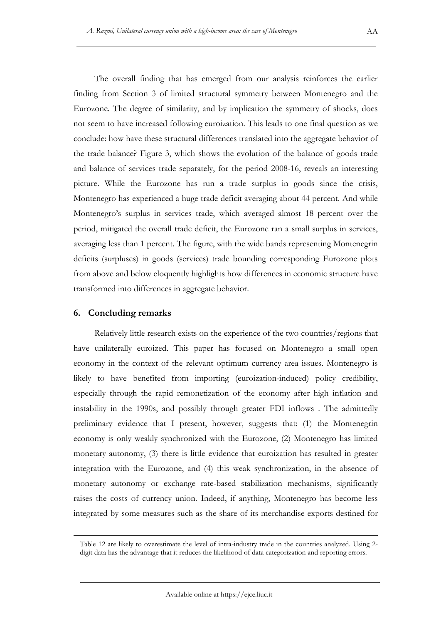The overall finding that has emerged from our analysis reinforces the earlier finding from Section 3 of limited structural symmetry between Montenegro and the Eurozone. The degree of similarity, and by implication the symmetry of shocks, does not seem to have increased following euroization. This leads to one final question as we conclude: how have these structural differences translated into the aggregate behavior of the trade balance? Figure 3, which shows the evolution of the balance of goods trade and balance of services trade separately, for the period 2008-16, reveals an interesting picture. While the Eurozone has run a trade surplus in goods since the crisis, Montenegro has experienced a huge trade deficit averaging about 44 percent. And while Montenegro's surplus in services trade, which averaged almost 18 percent over the period, mitigated the overall trade deficit, the Eurozone ran a small surplus in services, averaging less than 1 percent. The figure, with the wide bands representing Montenegrin deficits (surpluses) in goods (services) trade bounding corresponding Eurozone plots from above and below eloquently highlights how differences in economic structure have transformed into differences in aggregate behavior.

### **6. Concluding remarks**

Relatively little research exists on the experience of the two countries/regions that have unilaterally euroized. This paper has focused on Montenegro a small open economy in the context of the relevant optimum currency area issues. Montenegro is likely to have benefited from importing (euroization-induced) policy credibility, especially through the rapid remonetization of the economy after high inflation and instability in the 1990s, and possibly through greater FDI inflows . The admittedly preliminary evidence that I present, however, suggests that: (1) the Montenegrin economy is only weakly synchronized with the Eurozone, (2) Montenegro has limited monetary autonomy, (3) there is little evidence that euroization has resulted in greater integration with the Eurozone, and (4) this weak synchronization, in the absence of monetary autonomy or exchange rate-based stabilization mechanisms, significantly raises the costs of currency union. Indeed, if anything, Montenegro has become less integrated by some measures such as the share of its merchandise exports destined for

Table 12 are likely to overestimate the level of intra-industry trade in the countries analyzed. Using 2 digit data has the advantage that it reduces the likelihood of data categorization and reporting errors.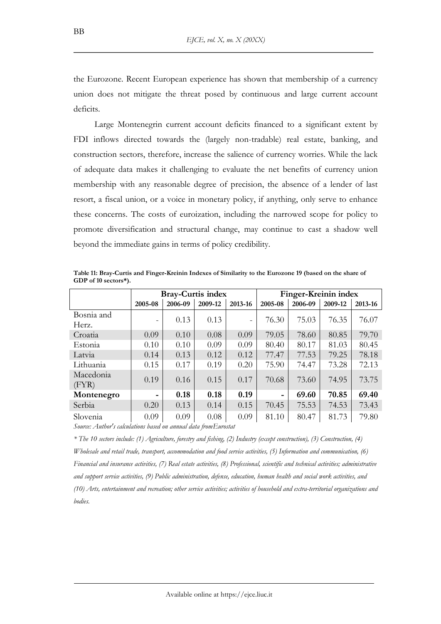the Eurozone. Recent European experience has shown that membership of a currency union does not mitigate the threat posed by continuous and large current account deficits.

Large Montenegrin current account deficits financed to a significant extent by FDI inflows directed towards the (largely non-tradable) real estate, banking, and construction sectors, therefore, increase the salience of currency worries. While the lack of adequate data makes it challenging to evaluate the net benefits of currency union membership with any reasonable degree of precision, the absence of a lender of last resort, a fiscal union, or a voice in monetary policy, if anything, only serve to enhance these concerns. The costs of euroization, including the narrowed scope for policy to promote diversification and structural change, may continue to cast a shadow well beyond the immediate gains in terms of policy credibility.

|                    |                | <b>Bray-Curtis index</b> |         |                |         | Finger-Kreinin index |         |         |
|--------------------|----------------|--------------------------|---------|----------------|---------|----------------------|---------|---------|
|                    | 2005-08        | 2006-09                  | 2009-12 | 2013-16        | 2005-08 | 2006-09              | 2009-12 | 2013-16 |
| Bosnia and         |                | 0.13                     | 0.13    |                | 76.30   | 75.03                | 76.35   | 76.07   |
| Herz.              |                |                          |         | $\blacksquare$ |         |                      |         |         |
| Croatia            | 0.09           | 0.10                     | 0.08    | 0.09           | 79.05   | 78.60                | 80.85   | 79.70   |
| Estonia            | 0.10           | 0.10                     | 0.09    | 0.09           | 80.40   | 80.17                | 81.03   | 80.45   |
| Latvia             | 0.14           | 0.13                     | 0.12    | 0.12           | 77.47   | 77.53                | 79.25   | 78.18   |
| Lithuania          | 0.15           | 0.17                     | 0.19    | 0.20           | 75.90   | 74.47                | 73.28   | 72.13   |
| Macedonia<br>(FYR) | 0.19           | 0.16                     | 0.15    | 0.17           | 70.68   | 73.60                | 74.95   | 73.75   |
| Montenegro         | $\blacksquare$ | 0.18                     | 0.18    | 0.19           |         | 69.60                | 70.85   | 69.40   |
| Serbia             | 0.20           | 0.13                     | 0.14    | 0.15           | 70.45   | 75.53                | 74.53   | 73.43   |
| Slovenia           | 0.09           | 0.09                     | 0.08    | 0.09           | 81.10   | 80.47                | 81.73   | 79.80   |

**Table 11: Bray-Curtis and Finger-Kreinin Indexes of Similarity to the Eurozone 19 (based on the share of GDP of 10 sectors\*).** 

*Source: Author's calculations based on annual data from Eurostat*

*\* The 10 sectors include: (1) Agriculture, forestry and fishing, (2) Industry (except construction), (3) Construction, (4) Wholesale and retail trade, transport, accommodation and food service activities, (5) Information and communication, (6) Financial and insurance activities, (7) Real estate activities, (8) Professional, scientific and technical activities; administrative and support service activities, (9) Public administration, defense, education, human health and social work activities, and (10) Arts, entertainment and recreation; other service activities; activities of household and extra-territorial organizations and bodies.*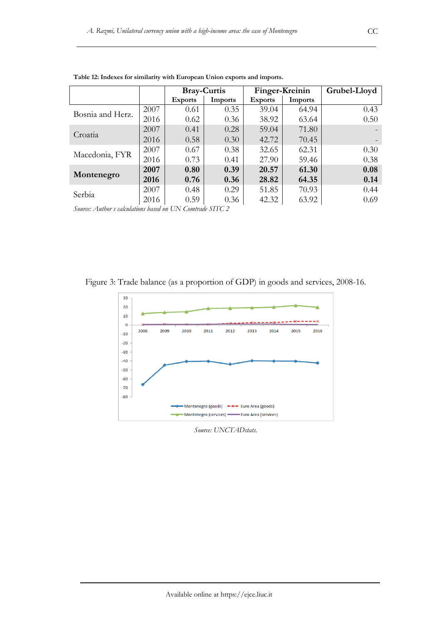|                  |      |                | <b>Bray-Curtis</b> |                | Finger-Kreinin | Grubel-Lloyd |
|------------------|------|----------------|--------------------|----------------|----------------|--------------|
|                  |      | <b>Exports</b> | Imports            | <b>Exports</b> | Imports        |              |
| Bosnia and Herz. | 2007 | 0.61           | 0.35               | 39.04          | 64.94          | 0.43         |
|                  | 2016 | 0.62           | 0.36               | 38.92          | 63.64          | 0.50         |
| Croatia          | 2007 | 0.41           | 0.28               | 59.04          | 71.80          |              |
|                  | 2016 | 0.58           | 0.30               | 42.72          | 70.45          |              |
| Macedonia, FYR   | 2007 | 0.67           | 0.38               | 32.65          | 62.31          | 0.30         |
|                  | 2016 | 0.73           | 0.41               | 27.90          | 59.46          | 0.38         |
|                  | 2007 | 0.80           | 0.39               | 20.57          | 61.30          | 0.08         |
| Montenegro       | 2016 | 0.76           | 0.36               | 28.82          | 64.35          | 0.14         |
| Serbia           | 2007 | 0.48           | 0.29               | 51.85          | 70.93          | 0.44         |
|                  | 2016 | 0.59           | 0.36               | 42.32          | 63.92          | 0.69         |

**Table 12: Indexes for similarity with European Union exports and imports.** 

*Source: Author s calculations based on UN Comtrade SITC 2*

Figure 3: Trade balance (as a proportion of GDP) in goods and services, 2008-16.



*Source: UNCTADstats.*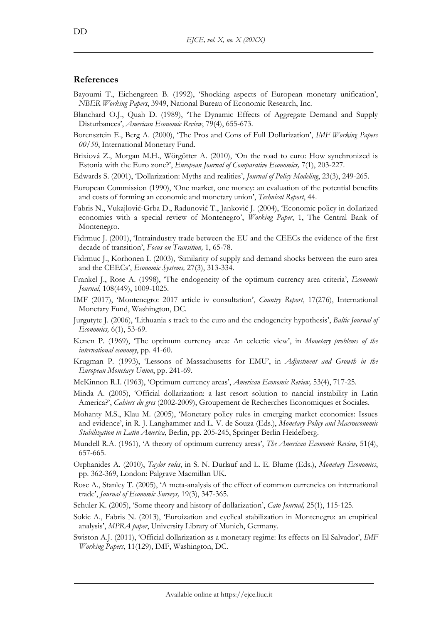## **References**

- Bayoumi T., Eichengreen B. (1992), 'Shocking aspects of European monetary unification', *NBER Working Papers*, 3949, National Bureau of Economic Research, Inc.
- Blanchard O.J., Quah D. (1989), 'The Dynamic Effects of Aggregate Demand and Supply Disturbances', *American Economic Review*, 79(4), 655-673.
- Borensztein E., Berg A. (2000), 'The Pros and Cons of Full Dollarization', *IMF Working Papers 00/50*, International Monetary Fund.
- Brixiová Z., Morgan M.H., Wörgötter A. (2010), 'On the road to euro: How synchronized is Estonia with the Euro zone?', *European Journal of Comparative Economics,* 7(1), 203-227.
- Edwards S. (2001), 'Dollarization: Myths and realities', *Journal of Policy Modeling*, 23(3), 249-265.
- European Commission (1990), 'One market, one money: an evaluation of the potential benefits and costs of forming an economic and monetary union', *Technical Report*, 44.
- Fabris N., Vukajlović-Grba D., Radunović T., Janković J. (2004), 'Economic policy in dollarized economies with a special review of Montenegro', *Working Paper*, 1, The Central Bank of Montenegro.
- Fidrmuc J. (2001), 'Intraindustry trade between the EU and the CEECs the evidence of the first decade of transition', *Focus on Transition,* 1, 65-78.
- Fidrmuc J., Korhonen I. (2003), 'Similarity of supply and demand shocks between the euro area and the CEECs', *Economic Systems,* 27(3), 313-334.
- Frankel J., Rose A. (1998), 'The endogeneity of the optimum currency area criteria', *Economic Journal*, 108(449), 1009-1025.
- IMF (2017), 'Montenegro: 2017 article iv consultation', *Country Report*, 17(276), International Monetary Fund, Washington, DC.
- Jurgutyte J. (2006), 'Lithuania s track to the euro and the endogeneity hypothesis', *Baltic Journal of Economics,* 6(1), 53-69.
- Kenen P. (1969), 'The optimum currency area: An eclectic view', in *Monetary problems of the international economy*, pp. 41-60.
- Krugman P. (1993), 'Lessons of Massachusetts for EMU', in *Adjustment and Growth in the European Monetary Union*, pp. 241-69.
- McKinnon R.I. (1963), 'Optimum currency areas', *American Economic Review,* 53(4), 717-25.
- Minda A. (2005), 'Official dollarization: a last resort solution to nancial instability in Latin America?', *Cahiers du gres* (2002-2009), Groupement de Recherches Economiques et Sociales.
- Mohanty M.S., Klau M. (2005), 'Monetary policy rules in emerging market economies: Issues and evidence', in R. J. Langhammer and L. V. de Souza (Eds.), *Monetary Policy and Macroeconomic Stabilization in Latin America*, Berlin, pp. 205-245, Springer Berlin Heidelberg.
- Mundell R.A. (1961), 'A theory of optimum currency areas', *The American Economic Review,* 51(4), 657-665.
- Orphanides A. (2010), *Taylor rules*, in S. N. Durlauf and L. E. Blume (Eds.), *Monetary Economics*, pp. 362-369, London: Palgrave Macmillan UK.
- Rose A., Stanley T. (2005), 'A meta-analysis of the effect of common currencies on international trade', *Journal of Economic Surveys,* 19(3), 347-365.
- Schuler K. (2005), 'Some theory and history of dollarization', *Cato Journal,* 25(1), 115-125.
- Sokic A., Fabris N. (2013), 'Euroization and cyclical stabilization in Montenegro: an empirical analysis', *MPRA paper*, University Library of Munich, Germany.
- Swiston A.J. (2011), 'Official dollarization as a monetary regime: Its effects on El Salvador', *IMF Working Papers*, 11(129), IMF, Washington, DC.